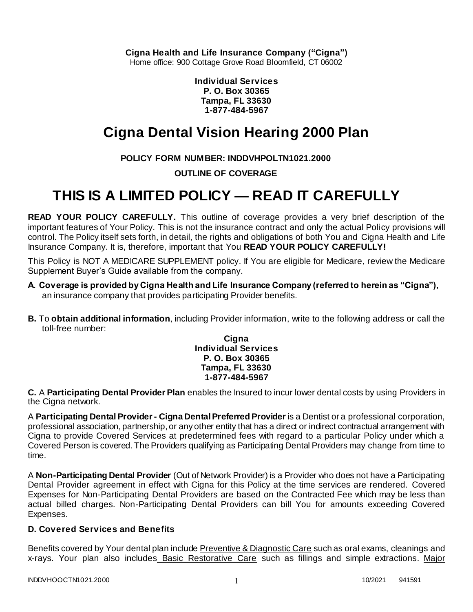**Cigna Health and Life Insurance Company ("Cigna")**

Home office: 900 Cottage Grove Road Bloomfield, CT 06002

**Individual Services P. O. Box 30365 Tampa, FL 33630 1-877-484-5967**

# **Cigna Dental Vision Hearing 2000 Plan**

**POLICY FORM NUMBER: INDDVHPOLTN1021.2000**

**OUTLINE OF COVERAGE** 

# **THIS IS A LIMITED POLICY — READ IT CAREFULLY**

**READ YOUR POLICY CAREFULLY.** This outline of coverage provides a very brief description of the important features of Your Policy. This is not the insurance contract and only the actual Policy provisions will control. The Policy itself sets forth, in detail, the rights and obligations of both You and Cigna Health and Life Insurance Company. It is, therefore, important that You **READ YOUR POLICY CAREFULLY!** 

This Policy is NOT A MEDICARE SUPPLEMENT policy. If You are eligible for Medicare, review the Medicare Supplement Buyer's Guide available from the company.

- **A. Coverage is provided by Cigna Health and Life Insurance Company (referred to herein as "Cigna"),**  an insurance company that provides participating Provider benefits.
- **B.** To **obtain additional information**, including Provider information, write to the following address or call the toll-free number:

**Cigna Individual Services P. O. Box 30365 Tampa, FL 33630 1-877-484-5967**

**C.** A **Participating Dental Provider Plan** enables the Insured to incur lower dental costs by using Providers in the Cigna network.

A **Participating Dental Provider - Cigna Dental Preferred Provider** is a Dentist or a professional corporation, professional association, partnership, or any other entity that has a direct or indirect contractual arrangement with Cigna to provide Covered Services at predetermined fees with regard to a particular Policy under which a Covered Person is covered. The Providers qualifying as Participating Dental Providers may change from time to time.

A **Non-Participating Dental Provider** (Out of Network Provider) is a Provider who does not have a Participating Dental Provider agreement in effect with Cigna for this Policy at the time services are rendered. Covered Expenses for Non-Participating Dental Providers are based on the Contracted Fee which may be less than actual billed charges. Non-Participating Dental Providers can bill You for amounts exceeding Covered Expenses.

## **D. Covered Services and Benefits**

Benefits covered by Your dental plan include Preventive & Diagnostic Care such as oral exams, cleanings and x-rays. Your plan also includes Basic Restorative Care such as fillings and simple extractions. Major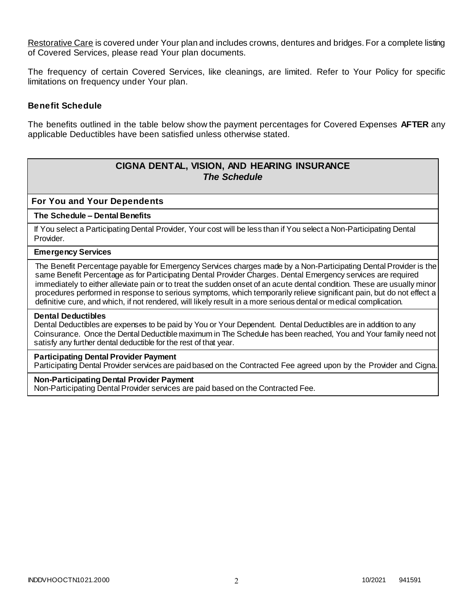Restorative Care is covered under Your plan and includes crowns, dentures and bridges. For a complete listing of Covered Services, please read Your plan documents.

The frequency of certain Covered Services, like cleanings, are limited. Refer to Your Policy for specific limitations on frequency under Your plan.

## **Benefit Schedule**

The benefits outlined in the table below show the payment percentages for Covered Expenses **AFTER** any applicable Deductibles have been satisfied unless otherwise stated.

# **CIGNA DENTAL, VISION, AND HEARING INSURANCE** *The Schedule*

**For You and Your Dependents**

#### **The Schedule – Dental Benefits**

If You select a Participating Dental Provider, Your cost will be less than if You select a Non-Participating Dental Provider.

#### **Emergency Services**

The Benefit Percentage payable for Emergency Services charges made by a Non-Participating Dental Provider is the same Benefit Percentage as for Participating Dental Provider Charges. Dental Emergency services are required immediately to either alleviate pain or to treat the sudden onset of an acute dental condition. These are usually minor procedures performed in response to serious symptoms, which temporarily relieve significant pain, but do not effect a definitive cure, and which, if not rendered, will likely result in a more serious dental or medical complication.

#### **Dental Deductibles**

Dental Deductibles are expenses to be paid by You or Your Dependent. Dental Deductibles are in addition to any Coinsurance. Once the Dental Deductible maximum in The Schedule has been reached, You and Your family need not satisfy any further dental deductible for the rest of that year.

#### **Participating Dental Provider Payment**

Participating Dental Provider services are paid based on the Contracted Fee agreed upon by the Provider and Cigna.

### **Non-Participating Dental Provider Payment**

Non-Participating Dental Provider services are paid based on the Contracted Fee.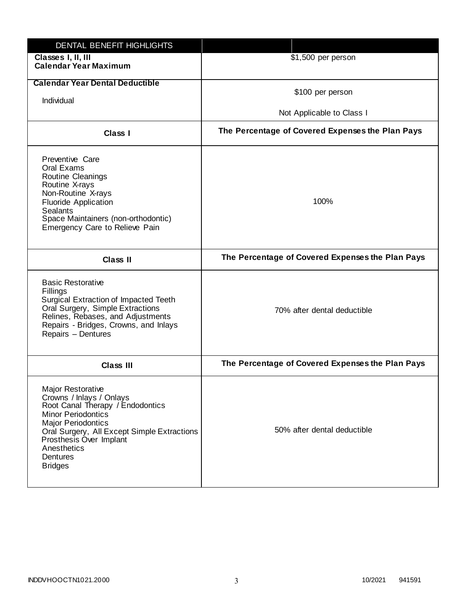| DENTAL BENEFIT HIGHLIGHTS                                                                                                                                                                                                                                          |                                                  |
|--------------------------------------------------------------------------------------------------------------------------------------------------------------------------------------------------------------------------------------------------------------------|--------------------------------------------------|
| Classes I, II, III<br><b>Calendar Year Maximum</b>                                                                                                                                                                                                                 | \$1,500 per person                               |
| <b>Calendar Year Dental Deductible</b>                                                                                                                                                                                                                             |                                                  |
|                                                                                                                                                                                                                                                                    | \$100 per person                                 |
| Individual                                                                                                                                                                                                                                                         | Not Applicable to Class I                        |
| Class I                                                                                                                                                                                                                                                            | The Percentage of Covered Expenses the Plan Pays |
| Preventive Care<br>Oral Exams<br><b>Routine Cleanings</b><br>Routine X-rays<br>Non-Routine X-rays<br><b>Fluoride Application</b><br><b>Sealants</b><br>Space Maintainers (non-orthodontic)<br>Emergency Care to Relieve Pain                                       | 100%                                             |
| <b>Class II</b>                                                                                                                                                                                                                                                    | The Percentage of Covered Expenses the Plan Pays |
| <b>Basic Restorative</b><br>Fillings<br>Surgical Extraction of Impacted Teeth<br>Oral Surgery, Simple Extractions<br>Relines, Rebases, and Adjustments<br>Repairs - Bridges, Crowns, and Inlays<br>Repairs - Dentures                                              | 70% after dental deductible                      |
| <b>Class III</b>                                                                                                                                                                                                                                                   | The Percentage of Covered Expenses the Plan Pays |
| Major Restorative<br>Crowns / Inlays / Onlays<br>Root Canal Therapy / Endodontics<br><b>Minor Periodontics</b><br><b>Major Periodontics</b><br>Oral Surgery, All Except Simple Extractions<br>Prosthesis Over Implant<br>Anesthetics<br>Dentures<br><b>Bridges</b> | 50% after dental deductible                      |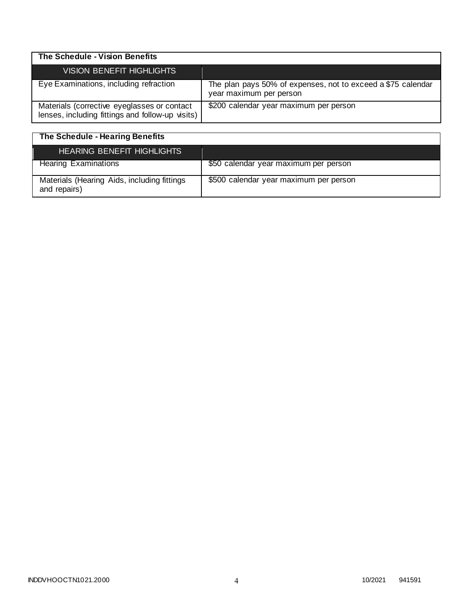| The Schedule - Vision Benefits                                                                  |                                                                                         |
|-------------------------------------------------------------------------------------------------|-----------------------------------------------------------------------------------------|
| <b>VISION BENEFIT HIGHLIGHTS</b>                                                                |                                                                                         |
| Eye Examinations, including refraction                                                          | The plan pays 50% of expenses, not to exceed a \$75 calendar<br>year maximum per person |
| Materials (corrective eyeglasses or contact<br>lenses, including fittings and follow-up visits) | \$200 calendar year maximum per person                                                  |

| The Schedule - Hearing Benefits                             |                                        |
|-------------------------------------------------------------|----------------------------------------|
| <b>HEARING BENEFIT HIGHLIGHTS</b>                           |                                        |
| <b>Hearing Examinations</b>                                 | \$50 calendar year maximum per person  |
| Materials (Hearing Aids, including fittings<br>and repairs) | \$500 calendar year maximum per person |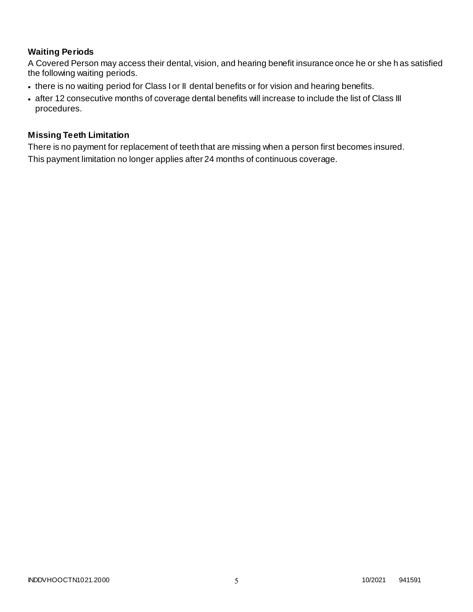# **Waiting Periods**

A Covered Person may access their dental, vision, and hearing benefit insurance once he or she h as satisfied the following waiting periods.

- there is no waiting period for Class I or II dental benefits or for vision and hearing benefits.
- after 12 consecutive months of coverage dental benefits will increase to include the list of Class III procedures.

## **Missing Teeth Limitation**

There is no payment for replacement of teeth that are missing when a person first becomes insured. This payment limitation no longer applies after 24 months of continuous coverage.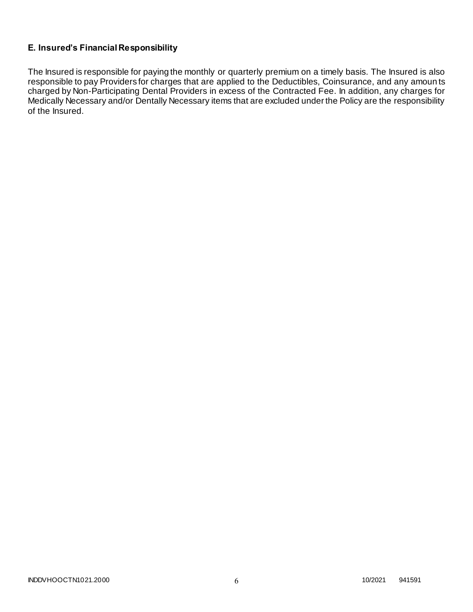# **E. Insured's Financial Responsibility**

The Insured is responsible for paying the monthly or quarterly premium on a timely basis. The Insured is also responsible to pay Providers for charges that are applied to the Deductibles, Coinsurance, and any amoun ts charged by Non-Participating Dental Providers in excess of the Contracted Fee. In addition, any charges for Medically Necessary and/or Dentally Necessary items that are excluded under the Policy are the responsibility of the Insured.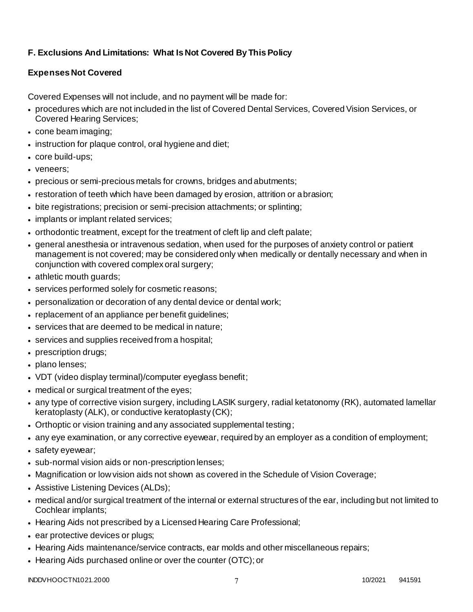# **F. Exclusions And Limitations: What Is Not Covered By This Policy**

# **Expenses Not Covered**

Covered Expenses will not include, and no payment will be made for:

- procedures which are not included in the list of Covered Dental Services, Covered Vision Services, or Covered Hearing Services;
- cone beam imaging;
- instruction for plaque control, oral hygiene and diet;
- core build-ups;
- veneers:
- precious or semi-precious metals for crowns, bridges and abutments;
- restoration of teeth which have been damaged by erosion, attrition or abrasion;
- bite registrations; precision or semi-precision attachments; or splinting;
- implants or implant related services;
- orthodontic treatment, except for the treatment of cleft lip and cleft palate;
- general anesthesia or intravenous sedation, when used for the purposes of anxiety control or patient management is not covered; may be considered only when medically or dentally necessary and when in conjunction with covered complex oral surgery;
- athletic mouth guards;
- services performed solely for cosmetic reasons;
- personalization or decoration of any dental device or dental work;
- replacement of an appliance per benefit guidelines;
- services that are deemed to be medical in nature;
- services and supplies received from a hospital;
- prescription drugs;
- plano lenses;
- VDT (video display terminal)/computer eyeglass benefit;
- medical or surgical treatment of the eyes;
- any type of corrective vision surgery, including LASIK surgery, radial ketatonomy (RK), automated lamellar keratoplasty (ALK), or conductive keratoplasty (CK);
- Orthoptic or vision training and any associated supplemental testing;
- any eye examination, or any corrective eyewear, required by an employer as a condition of employment;
- safety eyewear;
- sub-normal vision aids or non-prescription lenses;
- Magnification or low vision aids not shown as covered in the Schedule of Vision Coverage;
- Assistive Listening Devices (ALDs);
- medical and/or surgical treatment of the internal or external structures of the ear, including but not limited to Cochlear implants;
- Hearing Aids not prescribed by a Licensed Hearing Care Professional;
- ear protective devices or plugs;
- Hearing Aids maintenance/service contracts, ear molds and other miscellaneous repairs;
- Hearing Aids purchased online or over the counter (OTC); or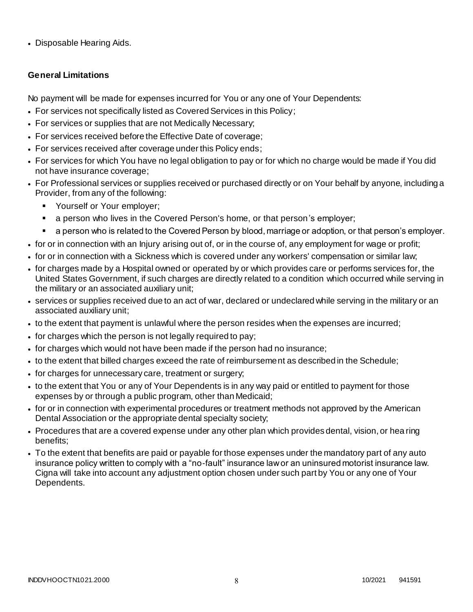• Disposable Hearing Aids.

# **General Limitations**

No payment will be made for expenses incurred for You or any one of Your Dependents:

- For services not specifically listed as Covered Services in this Policy;
- For services or supplies that are not Medically Necessary;
- For services received before the Effective Date of coverage;
- For services received after coverage under this Policy ends;
- For services for which You have no legal obligation to pay or for which no charge would be made if You did not have insurance coverage;
- For Professional services or supplies received or purchased directly or on Your behalf by anyone, including a Provider, from any of the following:
	- Yourself or Your employer;
	- a person who lives in the Covered Person's home, or that person's employer;
	- a person who is related to the Covered Person by blood, marriage or adoption, or that person's employer.
- for or in connection with an Injury arising out of, or in the course of, any employment for wage or profit;
- for or in connection with a Sickness which is covered under any workers' compensation or similar law;
- for charges made by a Hospital owned or operated by or which provides care or performs services for, the United States Government, if such charges are directly related to a condition which occurred while serving in the military or an associated auxiliary unit;
- services or supplies received due to an act of war, declared or undeclared while serving in the military or an associated auxiliary unit;
- to the extent that payment is unlawful where the person resides when the expenses are incurred;
- for charges which the person is not legally required to pay;
- for charges which would not have been made if the person had no insurance;
- to the extent that billed charges exceed the rate of reimbursement as described in the Schedule;
- for charges for unnecessary care, treatment or surgery;
- to the extent that You or any of Your Dependents is in any way paid or entitled to payment for those expenses by or through a public program, other than Medicaid;
- for or in connection with experimental procedures or treatment methods not approved by the American Dental Association or the appropriate dental specialty society;
- Procedures that are a covered expense under any other plan which provides dental, vision, or hea ring benefits;
- To the extent that benefits are paid or payable for those expenses under the mandatory part of any auto insurance policy written to comply with a "no-fault" insurance law or an uninsured motorist insurance law. Cigna will take into account any adjustment option chosen under such part by You or any one of Your Dependents.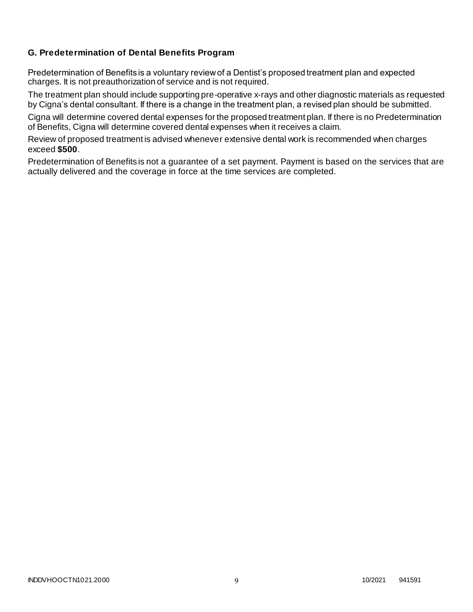# **G. Predetermination of Dental Benefits Program**

Predetermination of Benefits is a voluntary review of a Dentist's proposed treatment plan and expected charges. It is not preauthorization of service and is not required.

The treatment plan should include supporting pre-operative x-rays and other diagnostic materials as requested by Cigna's dental consultant. If there is a change in the treatment plan, a revised plan should be submitted.

Cigna will determine covered dental expenses for the proposed treatment plan. If there is no Predetermination of Benefits, Cigna will determine covered dental expenses when it receives a claim.

Review of proposed treatment is advised whenever extensive dental work is recommended when charges exceed **\$500**.

Predetermination of Benefits is not a guarantee of a set payment. Payment is based on the services that are actually delivered and the coverage in force at the time services are completed.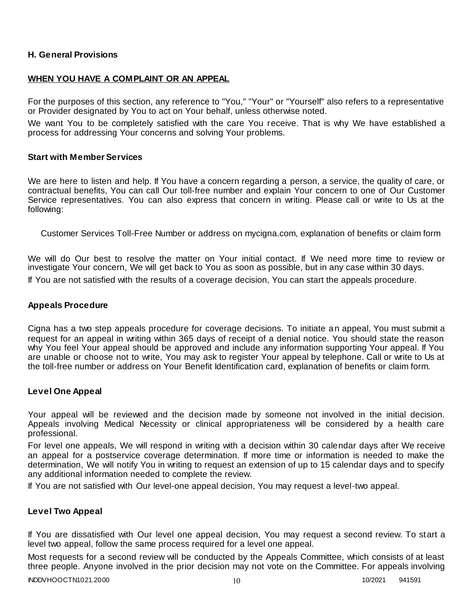## **H. General Provisions**

## **WHEN YOU HAVE A COMPLAINT OR AN APPEAL**

For the purposes of this section, any reference to "You," "Your" or "Yourself" also refers to a representative or Provider designated by You to act on Your behalf, unless otherwise noted.

We want You to be completely satisfied with the care You receive. That is why We have established a process for addressing Your concerns and solving Your problems.

### **Start with Member Services**

We are here to listen and help. If You have a concern regarding a person, a service, the quality of care, or contractual benefits, You can call Our toll-free number and explain Your concern to one of Our Customer Service representatives. You can also express that concern in writing. Please call or write to Us at the following:

Customer Services Toll-Free Number or address on mycigna.com, explanation of benefits or claim form

We will do Our best to resolve the matter on Your initial contact. If We need more time to review or investigate Your concern, We will get back to You as soon as possible, but in any case within 30 days. If You are not satisfied with the results of a coverage decision, You can start the appeals procedure.

### **Appeals Procedure**

Cigna has a two step appeals procedure for coverage decisions. To initiate an appeal, You must submit a request for an appeal in writing within 365 days of receipt of a denial notice. You should state the reason why You feel Your appeal should be approved and include any information supporting Your appeal. If You are unable or choose not to write, You may ask to register Your appeal by telephone. Call or write to Us at the toll-free number or address on Your Benefit Identification card, explanation of benefits or claim form.

## **Level One Appeal**

Your appeal will be reviewed and the decision made by someone not involved in the initial decision. Appeals involving Medical Necessity or clinical appropriateness will be considered by a health care professional.

For level one appeals, We will respond in writing with a decision within 30 calendar days after We receive an appeal for a postservice coverage determination. If more time or information is needed to make the determination, We will notify You in writing to request an extension of up to 15 calendar days and to specify any additional information needed to complete the review.

If You are not satisfied with Our level-one appeal decision, You may request a level-two appeal.

## **Level Two Appeal**

If You are dissatisfied with Our level one appeal decision, You may request a second review. To start a level two appeal, follow the same process required for a level one appeal.

Most requests for a second review will be conducted by the Appeals Committee, which consists of at least three people. Anyone involved in the prior decision may not vote on the Committee. For appeals involving

INDDVHOOCTN1021.2000 10 10/2021 941591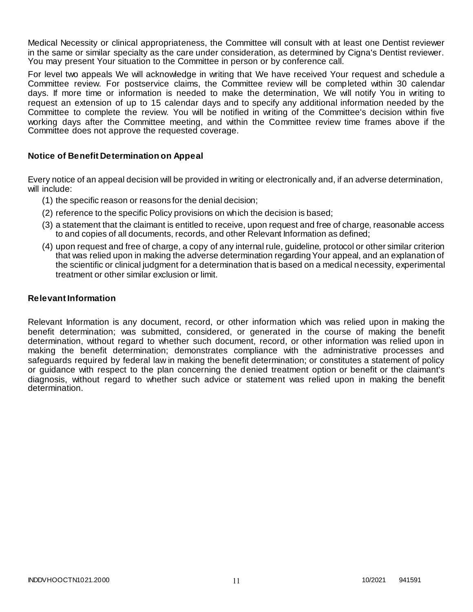Medical Necessity or clinical appropriateness, the Committee will consult with at least one Dentist reviewer in the same or similar specialty as the care under consideration, as determined by Cigna's Dentist reviewer. You may present Your situation to the Committee in person or by conference call.

For level two appeals We will acknowledge in writing that We have received Your request and schedule a Committee review. For postservice claims, the Committee review will be completed within 30 calendar days. If more time or information is needed to make the determination, We will notify You in writing to request an extension of up to 15 calendar days and to specify any additional information needed by the Committee to complete the review. You will be notified in writing of the Committee's decision within five working days after the Committee meeting, and within the Committee review time frames above if the Committee does not approve the requested coverage.

## **Notice of Benefit Determination on Appeal**

Every notice of an appeal decision will be provided in writing or electronically and, if an adverse determination, will include:

- (1) the specific reason or reasons for the denial decision;
- (2) reference to the specific Policy provisions on which the decision is based;
- (3) a statement that the claimant is entitled to receive, upon request and free of charge, reasonable access to and copies of all documents, records, and other Relevant Information as defined;
- (4) upon request and free of charge, a copy of any internal rule, guideline, protocol or other similar criterion that was relied upon in making the adverse determination regarding Your appeal, and an explanation of the scientific or clinical judgment for a determination that is based on a medical necessity, experimental treatment or other similar exclusion or limit.

## **Relevant Information**

Relevant Information is any document, record, or other information which was relied upon in making the benefit determination; was submitted, considered, or generated in the course of making the benefit determination, without regard to whether such document, record, or other information was relied upon in making the benefit determination; demonstrates compliance with the administrative processes and safeguards required by federal law in making the benefit determination; or constitutes a statement of policy or guidance with respect to the plan concerning the denied treatment option or benefit or the claimant's diagnosis, without regard to whether such advice or statement was relied upon in making the benefit determination.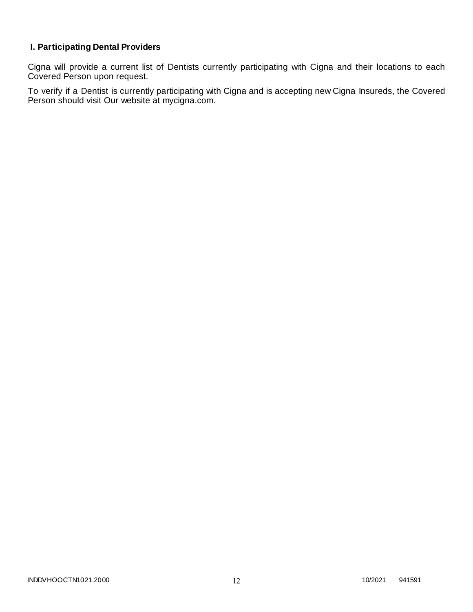# **I. Participating Dental Providers**

Cigna will provide a current list of Dentists currently participating with Cigna and their locations to each Covered Person upon request.

To verify if a Dentist is currently participating with Cigna and is accepting new Cigna Insureds, the Covered Person should visit Our website at mycigna.com.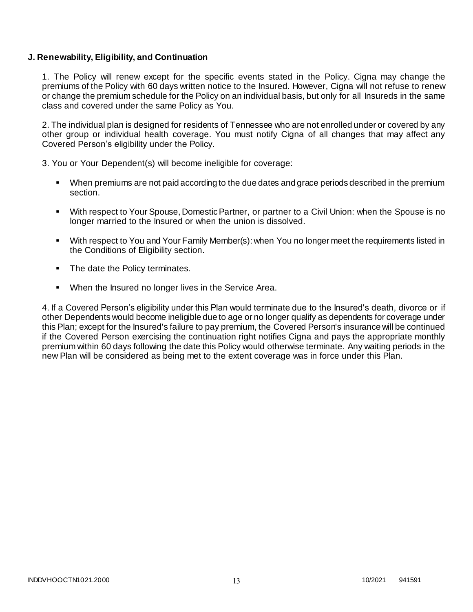## **J. Renewability, Eligibility, and Continuation**

1. The Policy will renew except for the specific events stated in the Policy. Cigna may change the premiums of the Policy with 60 days written notice to the Insured. However, Cigna will not refuse to renew or change the premium schedule for the Policy on an individual basis, but only for all Insureds in the same class and covered under the same Policy as You.

2. The individual plan is designed for residents of Tennessee who are not enrolled under or covered by any other group or individual health coverage. You must notify Cigna of all changes that may affect any Covered Person's eligibility under the Policy.

3. You or Your Dependent(s) will become ineligible for coverage:

- When premiums are not paid according to the due dates and grace periods described in the premium section.
- With respect to Your Spouse, Domestic Partner, or partner to a Civil Union: when the Spouse is no longer married to the Insured or when the union is dissolved.
- With respect to You and Your Family Member(s): when You no longer meet the requirements listed in the Conditions of Eligibility section.
- The date the Policy terminates.
- When the Insured no longer lives in the Service Area.

4. If a Covered Person's eligibility under this Plan would terminate due to the Insured's death, divorce or if other Dependents would become ineligible due to age or no longer qualify as dependents for coverage under this Plan; except for the Insured's failure to pay premium, the Covered Person's insurance will be continued if the Covered Person exercising the continuation right notifies Cigna and pays the appropriate monthly premium within 60 days following the date this Policy would otherwise terminate. Any waiting periods in the new Plan will be considered as being met to the extent coverage was in force under this Plan.